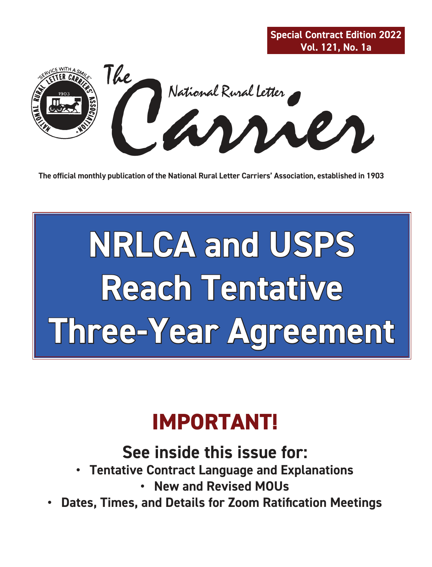

**The official monthly publication of the National Rural Letter Carriers' Association, established in 1903**

# **NRLCA and USPS Reach Tentative Three-Year Agreement**

## **IMPORTANT!**

### **See inside this issue for:**

- **Tentative Contract Language and Explanations**
	- **New and Revised MOUs**
- **Dates, Times, and Details for Zoom Ratification Meetings**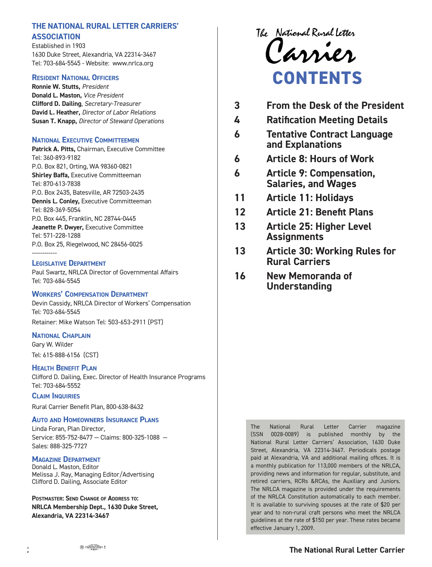#### The National Rural Letter **THE NATIONAL RURAL LETTER CARRIERS' ASSOCIATION**

Established in 1903 1 630 Duke Street, Alexandria, VA 22314-3467 Tel: 703-684-5545 - Website: www.nrlca.org

#### **RESIDENT NATIONAL OFFICERS**

**Ronnie W. Stutts,** *President* **Donald L. Maston,** *Vice President* **Clifford D. Dailing**, *Secretary-Treasurer* **David L. Heather,** *Director of Labor Relations* **Susan T. Knapp,** *Director of Steward Operations*

#### **NATIONAL EXECUTIVE COMMITTEEMEN**

**Patrick A. Pitts,** Chairman, Executive Committee Tel: 360-893-9182 P.O. Box 821, Orting, WA 98360-0821 **Shirley Baffa,** Executive Committeeman Tel: 870-613-7838 P.O. Box 2435, Batesville, AR 72503-2435 **Dennis L. Conley,** Executive Committeeman Tel: 828-369-5054 P.O. Box 445, Franklin, NC 28744-0445 **Jeanette P. Dwyer,** Executive Committee Tel: 571-228-1288 P.O. Box 25, Riegelwood, NC 28456-0025 ------------

#### **LEGISLATIVE DEPARTMENT**

Paul Swartz, NRLCA Director of Governmental Affairs Tel: 703-684-5545

#### **WORKERS' COMPENSATION DEPARTMENT**

Devin Cassidy, NRLCA Director of Workers' Compensation Tel: 703-684-5545 Retainer: Mike Watson Tel: 503-653-2911 (PST)

#### **NATIONAL CHAPLAIN**

Gary W. Wilder Tel: 615-888-6156 (CST)

#### **HEALTH BENEFIT PLAN**

Clifford D. Dailing, Exec. Director of Health Insurance Programs Tel: 703-684-5552

**CLAIM INQUIRIES**

Rural Carrier Benefit Plan, 800-638-8432

#### **AUTO AND HOMEOWNERS INSURANCE PLANS**

Linda Foran, Plan Director, Service: 855-752-8477 — Claims: 800-325-1088 — Sales: 888-325-7727

#### **MAGAZINE DEPARTMENT**

Donald L. Maston, Editor Melissa J. Ray, Managing Editor/Advertising Clifford D. Dailing, Associate Editor

**POSTMASTER: SEND CHANGE OF ADDRESS TO: NRLCA Membership Dept., 1630 Duke Street, Alexandria, VA 22314-3467**

The National Rural Letter<br>Carrier **CONTENTS**

| 3<br><b>From the Desk of the President</b> |
|--------------------------------------------|
|--------------------------------------------|

- **4 Ratification Meeting Details**
- **6 Tentative Contract Language and Explanations**
- **6 Article 8: Hours of Work**
- **6 Article 9: Compensation, Salaries, and Wages**
- **11 Article 11: Holidays**
- **12 Article 21: Benefit Plans**
- **13 Article 25: Higher Level Assignments**
- **13 Article 30: Working Rules for Rural Carriers**
- **16 New Memoranda of Understanding**

The National Rural Letter Carrier magazine (SSN 0028-0089) is published monthly by the National Rural Letter Carriers' Association, 1630 Duke Street, Alexandria, VA 22314-3467. Periodicals postage paid at Alexandria, VA and additional mailing offices. It is a monthly publication for 113,000 members of the NRLCA, providing news and information for regular, substitute, and retired carriers, RCRs &RCAs, the Auxiliary and Juniors. The NRLCA magazine is provided under the requirements of the NRLCA Constitution automatically to each member. It is available to surviving spouses at the rate of \$20 per year and to non-rural craft persons who meet the NRLCA guidelines at the rate of \$150 per year. These rates became effective January 1, 2009.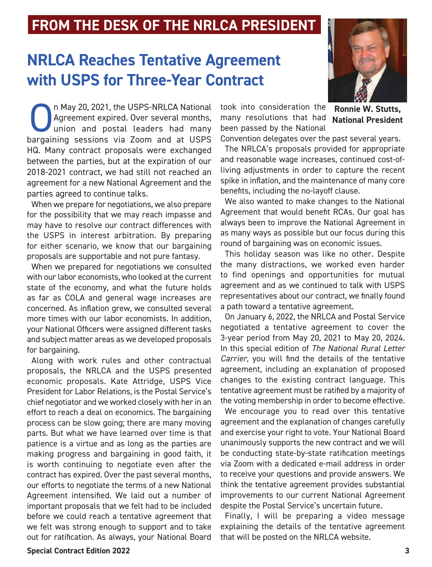### **FROM THE DESK OF THE NRLCA PRESIDENT**

### **NRLCA Reaches Tentative Agreement with USPS for Three-Year Contract**



n May 20, 2021, the USPS-NRLCA National<br>Agreement expired. Over several months,<br>union and postal leaders had many<br>bargaining sessions via Zoom and at USPS n May 20, 2021, the USPS-NRLCA National Agreement expired. Over several months, union and postal leaders had many HQ. Many contract proposals were exchanged between the parties, but at the expiration of our 2018-2021 contract, we had still not reached an agreement for a new National Agreement and the parties agreed to continue talks.

When we prepare for negotiations, we also prepare for the possibility that we may reach impasse and may have to resolve our contract differences with the USPS in interest arbitration. By preparing for either scenario, we know that our bargaining proposals are supportable and not pure fantasy.

When we prepared for negotiations we consulted with our labor economists, who looked at the current state of the economy, and what the future holds as far as COLA and general wage increases are concerned. As inflation grew, we consulted several more times with our labor economists. In addition, your National Officers were assigned different tasks and subject matter areas as we developed proposals for bargaining.

Along with work rules and other contractual proposals, the NRLCA and the USPS presented economic proposals. Kate Attridge, USPS Vice President for Labor Relations, is the Postal Service's chief negotiator and we worked closely with her in an effort to reach a deal on economics. The bargaining process can be slow going; there are many moving parts. But what we have learned over time is that patience is a virtue and as long as the parties are making progress and bargaining in good faith, it is worth continuing to negotiate even after the contract has expired. Over the past several months, our efforts to negotiate the terms of a new National Agreement intensified. We laid out a number of important proposals that we felt had to be included before we could reach a tentative agreement that we felt was strong enough to support and to take out for ratification. As always, your National Board

took into consideration the many resolutions that had been passed by the National

**Ronnie W. Stutts, National President**

Convention delegates over the past several years. The NRLCA's proposals provided for appropriate and reasonable wage increases, continued cost-ofliving adjustments in order to capture the recent spike in inflation, and the maintenance of many core benefits, including the no-layoff clause.

We also wanted to make changes to the National Agreement that would benefit RCAs. Our goal has always been to improve the National Agreement in as many ways as possible but our focus during this round of bargaining was on economic issues.

This holiday season was like no other. Despite the many distractions, we worked even harder to find openings and opportunities for mutual agreement and as we continued to talk with USPS representatives about our contract, we finally found a path toward a tentative agreement.

On January 6, 2022, the NRLCA and Postal Service negotiated a tentative agreement to cover the 3-year period from May 20, 2021 to May 20, 2024. In this special edition of *The National Rural Letter Carrier*, you will find the details of the tentative agreement, including an explanation of proposed changes to the existing contract language. This tentative agreement must be ratified by a majority of the voting membership in order to become effective.

We encourage you to read over this tentative agreement and the explanation of changes carefully and exercise your right to vote. Your National Board unanimously supports the new contract and we will be conducting state-by-state ratification meetings via Zoom with a dedicated e-mail address in order to receive your questions and provide answers. We think the tentative agreement provides substantial improvements to our current National Agreement despite the Postal Service's uncertain future.

Finally, I will be preparing a video message explaining the details of the tentative agreement that will be posted on the NRLCA website.

#### **Special Contract Edition 2022 3**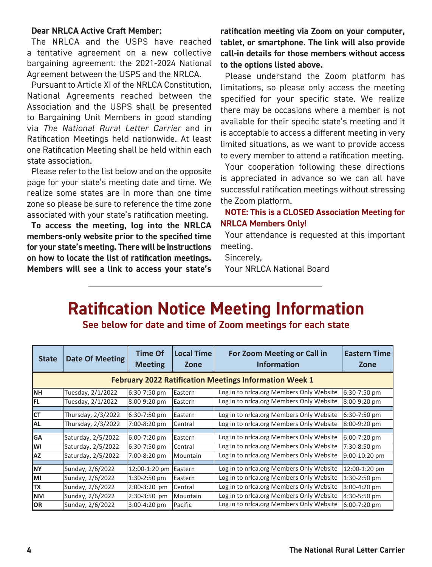#### **Dear NRLCA Active Craft Member:**

The NRLCA and the USPS have reached a tentative agreement on a new collective bargaining agreement: the 2021-2024 National Agreement between the USPS and the NRLCA.

Pursuant to Article XI of the NRLCA Constitution, National Agreements reached between the Association and the USPS shall be presented to Bargaining Unit Members in good standing via *The National Rural Letter Carrier* and in Ratification Meetings held nationwide. At least one Ratification Meeting shall be held within each state association.

Please refer to the list below and on the opposite page for your state's meeting date and time. We realize some states are in more than one time zone so please be sure to reference the time zone associated with your state's ratification meeting.

**To access the meeting, log into the NRLCA members-only website prior to the specified time for your state's meeting. There will be instructions on how to locate the list of ratification meetings. Members will see a link to access your state's** 

**ratification meeting via Zoom on your computer, tablet, or smartphone. The link will also provide call-in details for those members without access to the options listed above.** 

Please understand the Zoom platform has limitations, so please only access the meeting specified for your specific state. We realize there may be occasions where a member is not available for their specific state's meeting and it is acceptable to access a different meeting in very limited situations, as we want to provide access to every member to attend a ratification meeting.

Your cooperation following these directions is appreciated in advance so we can all have successful ratification meetings without stressing the Zoom platform.

#### **NOTE: This is a CLOSED Association Meeting for NRLCA Members Only!**

Your attendance is requested at this important meeting.

Sincerely,

Your NRLCA National Board

### **Ratification Notice Meeting Information**

**See below for date and time of Zoom meetings for each state**

| <b>State</b>                                                  | Date Of Meeting    | <b>Time Of</b><br><b>Meeting</b> | <b>Local Time</b><br>Zone | For Zoom Meeting or Call in<br><b>Information</b> | <b>Eastern Time</b><br>Zone |  |
|---------------------------------------------------------------|--------------------|----------------------------------|---------------------------|---------------------------------------------------|-----------------------------|--|
| <b>February 2022 Ratification Meetings Information Week 1</b> |                    |                                  |                           |                                                   |                             |  |
| Iмн                                                           | Tuesday, 2/1/2022  | 6:30-7:50 pm                     | Eastern                   | Log in to nrlca.org Members Only Website          | 6:30-7:50 pm                |  |
| IFL.                                                          | Tuesday, 2/1/2022  | 8:00-9:20 pm                     | Eastern                   | Log in to nrlca.org Members Only Website          | 8:00-9:20 pm                |  |
|                                                               |                    |                                  |                           |                                                   |                             |  |
| Iст                                                           | Thursday, 2/3/2022 | 6:30-7:50 pm                     | Eastern                   | Log in to nrlca.org Members Only Website          | 6:30-7:50 pm                |  |
| <b>AL</b>                                                     | Thursday, 2/3/2022 | 7:00-8:20 pm                     | Central                   | Log in to nrlca.org Members Only Website          | 8:00-9:20 pm                |  |
|                                                               |                    |                                  |                           |                                                   |                             |  |
| <b>GA</b>                                                     | Saturday, 2/5/2022 | 6:00-7:20 pm                     | Eastern                   | Log in to nrlca.org Members Only Website          | 6:00-7:20 pm                |  |
| lwı                                                           | Saturday, 2/5/2022 | 6:30-7:50 pm                     | Central                   | Log in to nrlca.org Members Only Website          | 7:30-8:50 pm                |  |
| laz                                                           | Saturday, 2/5/2022 | 7:00-8:20 pm                     | Mountain                  | Log in to nrlca.org Members Only Website          | 9:00-10:20 pm               |  |
|                                                               |                    |                                  |                           |                                                   |                             |  |
| INY                                                           | Sunday, 2/6/2022   | 12:00-1:20 pm                    | Eastern                   | Log in to nrlca.org Members Only Website          | 12:00-1:20 pm               |  |
| lмı                                                           | Sunday, 2/6/2022   | 1:30-2:50 pm                     | Eastern                   | Log in to nrlca.org Members Only Website          | 1:30-2:50 pm                |  |
| <b>TX</b>                                                     | Sunday, 2/6/2022   | 2:00-3:20 pm                     | Central                   | Log in to nrlca.org Members Only Website          | 3:00-4:20 pm                |  |
| <b>INM</b>                                                    | Sunday, 2/6/2022   | 2:30-3:50 pm                     | Mountain                  | Log in to nrlca.org Members Only Website          | 4:30-5:50 pm                |  |
| <b>OR</b>                                                     | Sunday, 2/6/2022   | 3:00-4:20 pm                     | Pacific                   | Log in to nrlca.org Members Only Website          | 6:00-7:20 pm                |  |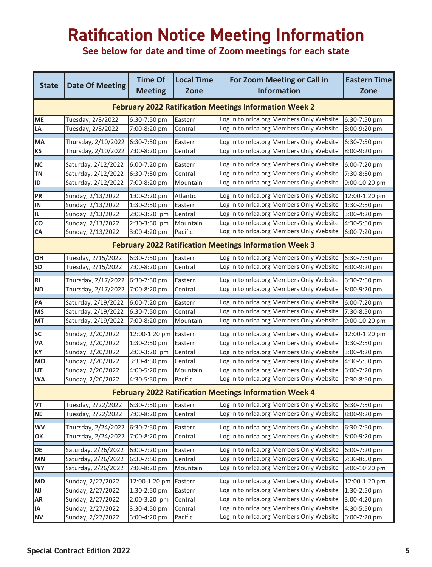### **Ratification Notice Meeting Information**

**See below for date and time of Zoom meetings for each state**

| <b>State</b>                                                  | <b>Date Of Meeting</b> | <b>Time Of</b><br><b>Meeting</b> | <b>Local Time</b><br><b>Zone</b> | For Zoom Meeting or Call in<br><b>Information</b> | <b>Eastern Time</b><br><b>Zone</b> |  |
|---------------------------------------------------------------|------------------------|----------------------------------|----------------------------------|---------------------------------------------------|------------------------------------|--|
| <b>February 2022 Ratification Meetings Information Week 2</b> |                        |                                  |                                  |                                                   |                                    |  |
| ME                                                            | Tuesday, 2/8/2022      | 6:30-7:50 pm                     | Eastern                          | Log in to nrlca.org Members Only Website          | 6:30-7:50 pm                       |  |
| LA                                                            | Tuesday, 2/8/2022      | 7:00-8:20 pm                     | Central                          | Log in to nrlca.org Members Only Website          | 8:00-9:20 pm                       |  |
| MA                                                            | Thursday, 2/10/2022    | 6:30-7:50 pm                     | Eastern                          | Log in to nrlca.org Members Only Website          | 6:30-7:50 pm                       |  |
| <b>KS</b>                                                     | Thursday, 2/10/2022    | 7:00-8:20 pm                     | Central                          | Log in to nrlca.org Members Only Website          | 8:00-9:20 pm                       |  |
| <b>NC</b>                                                     | Saturday, 2/12/2022    | 6:00-7:20 pm                     | Eastern                          | Log in to nrlca.org Members Only Website          | 6:00-7:20 pm                       |  |
| <b>TN</b>                                                     | Saturday, 2/12/2022    | 6:30-7:50 pm                     | Central                          | Log in to nrlca.org Members Only Website          | 7:30-8:50 pm                       |  |
| ID                                                            | Saturday, 2/12/2022    | 7:00-8:20 pm                     | Mountain                         | Log in to nrlca.org Members Only Website          | 9:00-10:20 pm                      |  |
| PR                                                            | Sunday, 2/13/2022      | 1:00-2:20 pm                     | Atlantic                         | Log in to nrlca.org Members Only Website          | 12:00-1:20 pm                      |  |
| IN                                                            | Sunday, 2/13/2022      | 1:30-2:50 pm                     | Eastern                          | Log in to nrlca.org Members Only Website          | 1:30-2:50 pm                       |  |
| IL                                                            | Sunday, 2/13/2022      | 2:00-3:20 pm                     | Central                          | Log in to nrlca.org Members Only Website          | 3:00-4:20 pm                       |  |
| CO                                                            | Sunday, 2/13/2022      | 2:30-3:50 pm                     | Mountain                         | Log in to nrlca.org Members Only Website          | 4:30-5:50 pm                       |  |
| CA                                                            | Sunday, 2/13/2022      | 3:00-4:20 pm                     | Pacific                          | Log in to nrlca.org Members Only Website          | 6:00-7:20 pm                       |  |
| <b>February 2022 Ratification Meetings Information Week 3</b> |                        |                                  |                                  |                                                   |                                    |  |
| OH                                                            | Tuesday, 2/15/2022     | 6:30-7:50 pm                     | Eastern                          | Log in to nrlca.org Members Only Website          | 6:30-7:50 pm                       |  |
| <b>SD</b>                                                     | Tuesday, 2/15/2022     | 7:00-8:20 pm                     | Central                          | Log in to nrlca.org Members Only Website          | 8:00-9:20 pm                       |  |
| <b>RI</b>                                                     | Thursday, 2/17/2022    | 6:30-7:50 pm                     | Eastern                          | Log in to nrlca.org Members Only Website          | 6:30-7:50 pm                       |  |
| <b>ND</b>                                                     | Thursday, 2/17/2022    | 7:00-8:20 pm                     | Central                          | Log in to nrlca.org Members Only Website          | 8:00-9:20 pm                       |  |
| PA                                                            | Saturday, 2/19/2022    | 6:00-7:20 pm                     | Eastern                          | Log in to nrlca.org Members Only Website          | 6:00-7:20 pm                       |  |
| <b>MS</b>                                                     | Saturday, 2/19/2022    | 6:30-7:50 pm                     | Central                          | Log in to nrlca.org Members Only Website          | 7:30-8:50 pm                       |  |
| MT                                                            | Saturday, 2/19/2022    | 7:00-8:20 pm                     | Mountain                         | Log in to nrlca.org Members Only Website          | 9:00-10:20 pm                      |  |
| SC                                                            | Sunday, 2/20/2022      | 12:00-1:20 pm                    | Eastern                          | Log in to nrlca.org Members Only Website          | 12:00-1:20 pm                      |  |
| VA                                                            | Sunday, 2/20/2022      | 1:30-2:50 pm                     | Eastern                          | Log in to nrlca.org Members Only Website          | 1:30-2:50 pm                       |  |
| KY                                                            | Sunday, 2/20/2022      | 2:00-3:20 pm                     | Central                          | Log in to nrlca.org Members Only Website          | 3:00-4:20 pm                       |  |
| <b>MO</b>                                                     | Sunday, 2/20/2022      | 3:30-4:50 pm                     | Central                          | Log in to nrlca.org Members Only Website          | 4:30-5:50 pm                       |  |
| UT                                                            | Sunday, 2/20/2022      | 4:00-5:20 pm                     | Mountain                         | Log in to nrlca.org Members Only Website          | 6:00-7:20 pm                       |  |
| <b>WA</b>                                                     | Sunday, 2/20/2022      | 4:30-5:50 pm                     | Pacific                          | Log in to nrlca.org Members Only Website          | 7:30-8:50 pm                       |  |
| <b>February 2022 Ratification Meetings Information Week 4</b> |                        |                                  |                                  |                                                   |                                    |  |
| VT                                                            | Tuesday, 2/22/2022     | 6:30-7:50 pm                     | Eastern                          | Log in to nrlca.org Members Only Website          | 6:30-7:50 pm                       |  |
| NE                                                            | Tuesday, 2/22/2022     | 7:00-8:20 pm                     | Central                          | Log in to nrica.org Members Only Website          | 8:00-9:20 pm                       |  |
| WV                                                            | Thursday, 2/24/2022    | 6:30-7:50 pm                     | Eastern                          | Log in to nrlca.org Members Only Website          | 6:30-7:50 pm                       |  |
| ОК                                                            | Thursday, 2/24/2022    | 7:00-8:20 pm                     | Central                          | Log in to nrlca.org Members Only Website          | 8:00-9:20 pm                       |  |
| DE                                                            | Saturday, 2/26/2022    | 6:00-7:20 pm                     | Eastern                          | Log in to nrlca.org Members Only Website          | 6:00-7:20 pm                       |  |
| ΜN                                                            | Saturday, 2/26/2022    | 6:30-7:50 pm                     | Central                          | Log in to nrlca.org Members Only Website          | 7:30-8:50 pm                       |  |
| WY                                                            | Saturday, 2/26/2022    | 7:00-8:20 pm                     | Mountain                         | Log in to nrlca.org Members Only Website          | 9:00-10:20 pm                      |  |
| <b>MD</b>                                                     | Sunday, 2/27/2022      | 12:00-1:20 pm                    | Eastern                          | Log in to nrlca.org Members Only Website          | 12:00-1:20 pm                      |  |
| NJ                                                            | Sunday, 2/27/2022      | $1:30-2:50$ pm                   | Eastern                          | Log in to nrlca.org Members Only Website          | 1:30-2:50 pm                       |  |
| AR                                                            | Sunday, 2/27/2022      | 2:00-3:20 pm                     | Central                          | Log in to nrlca.org Members Only Website          | 3:00-4:20 pm                       |  |
| ΙA                                                            | Sunday, 2/27/2022      | 3:30-4:50 pm                     | Central                          | Log in to nrlca.org Members Only Website          | 4:30-5:50 pm                       |  |
| <b>NV</b>                                                     | Sunday, 2/27/2022      | 3:00-4:20 pm                     | Pacific                          | Log in to nrlca.org Members Only Website          | 6:00-7:20 pm                       |  |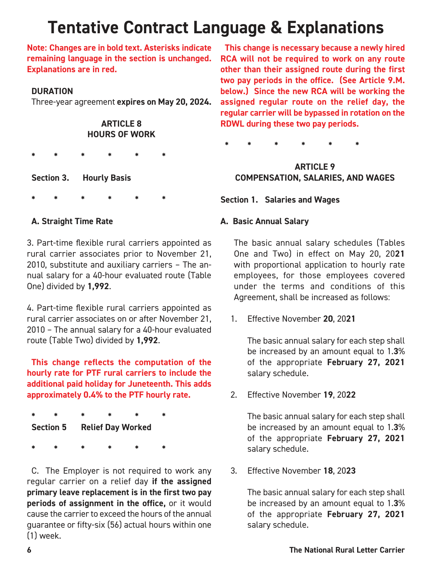### **Tentative Contract Language & Explanations**

**Note: Changes are in bold text. Asterisks indicate remaining language in the section is unchanged. Explanations are in red.**

#### **DURATION**

Three-year agreement **expires on May 20, 2024.**

#### **ARTICLE 8 HOURS OF WORK**

**\* \* \* \* \* \*** 

**Section 3. Hourly Basis**

**\* \* \* \* \* \*** 

#### **A. Straight Time Rate**

3. Part-time flexible rural carriers appointed as rural carrier associates prior to November 21, 2010, substitute and auxiliary carriers – The annual salary for a 40-hour evaluated route (Table One) divided by **1,992**.

4. Part-time flexible rural carriers appointed as rural carrier associates on or after November 21, 2010 – The annual salary for a 40-hour evaluated route (Table Two) divided by **1,992**.

**This change reflects the computation of the hourly rate for PTF rural carriers to include the additional paid holiday for Juneteenth. This adds approximately 0.4% to the PTF hourly rate.**

**\* \* \* \* \* \* Section 5 Relief Day Worked**

**\* \* \* \* \* \*** 

C. The Employer is not required to work any regular carrier on a relief day **if the assigned primary leave replacement is in the first two pay periods of assignment in the office,** or it would cause the carrier to exceed the hours of the annual guarantee or fifty-six (56) actual hours within one (1) week.

**This change is necessary because a newly hired RCA will not be required to work on any route other than their assigned route during the first two pay periods in the office. (See Article 9.M. below.) Since the new RCA will be working the assigned regular route on the relief day, the regular carrier will be bypassed in rotation on the RDWL during these two pay periods.** 

**\* \* \* \* \* \*** 

#### **ARTICLE 9 COMPENSATION, SALARIES, AND WAGES**

**Section 1. Salaries and Wages** 

#### **A. Basic Annual Salary**

The basic annual salary schedules (Tables One and Two) in effect on May 20, 20**21**  with proportional application to hourly rate employees, for those employees covered under the terms and conditions of this Agreement, shall be increased as follows:

1. Effective November **20**, 20**21**

 The basic annual salary for each step shall be increased by an amount equal to 1.**3**% of the appropriate **February 27, 2021**  salary schedule.

2. Effective November **19**, 20**22**

 The basic annual salary for each step shall be increased by an amount equal to 1.**3**% of the appropriate **February 27, 2021**  salary schedule.

3. Effective November **18**, 20**23**

 The basic annual salary for each step shall be increased by an amount equal to 1.**3**% of the appropriate **February 27, 2021**  salary schedule.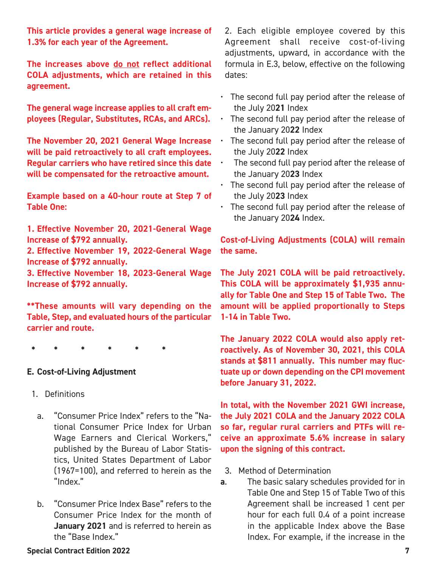**This article provides a general wage increase of 1.3% for each year of the Agreement.**

**The increases above do not reflect additional COLA adjustments, which are retained in this agreement.**

**The general wage increase applies to all craft employees (Regular, Substitutes, RCAs, and ARCs).**

**The November 20, 2021 General Wage Increase will be paid retroactively to all craft employees. Regular carriers who have retired since this date will be compensated for the retroactive amount.**

**Example based on a 40-hour route at Step 7 of Table One:**

**1. Effective November 20, 2021-General Wage Increase of \$792 annually.**

**2. Effective November 19, 2022-General Wage Increase of \$792 annually.**

**3. Effective November 18, 2023-General Wage Increase of \$792 annually.**

**\*\*These amounts will vary depending on the Table, Step, and evaluated hours of the particular carrier and route.**

**\* \* \* \* \* \*** 

#### **E. Cost-of-Living Adjustment**

- 1. Definitions
	- a. "Consumer Price Index" refers to the "National Consumer Price Index for Urban Wage Earners and Clerical Workers," published by the Bureau of Labor Statistics, United States Department of Labor (1967=100), and referred to herein as the "Index."
	- b. "Consumer Price Index Base" refers to the Consumer Price Index for the month of **January 2021** and is referred to herein as the "Base Index."

2. Each eligible employee covered by this Agreement shall receive cost-of-living adjustments, upward, in accordance with the formula in E.3, below, effective on the following dates:

- The second full pay period after the release of the July 20**21** Index
- The second full pay period after the release of the January 20**22** Index
- The second full pay period after the release of the July 20**22** Index
- The second full pay period after the release of the January 20**23** Index
- The second full pay period after the release of the July 20**23** Index
- The second full pay period after the release of the January 20**24** Index.

**Cost-of-Living Adjustments (COLA) will remain the same.**

**The July 2021 COLA will be paid retroactively. This COLA will be approximately \$1,935 annually for Table One and Step 15 of Table Two. The amount will be applied proportionally to Steps 1-14 in Table Two.**

**The January 2022 COLA would also apply retroactively. As of November 30, 2021, this COLA stands at \$811 annually. This number may fluctuate up or down depending on the CPI movement before January 31, 2022.**

**In total, with the November 2021 GWI increase, the July 2021 COLA and the January 2022 COLA so far, regular rural carriers and PTFs will receive an approximate 5.6% increase in salary upon the signing of this contract.**

- 3. Method of Determination
- **a**. The basic salary schedules provided for in Table One and Step 15 of Table Two of this Agreement shall be increased 1 cent per hour for each full 0.4 of a point increase in the applicable Index above the Base Index. For example, if the increase in the

#### **Special Contract Edition 2022 7**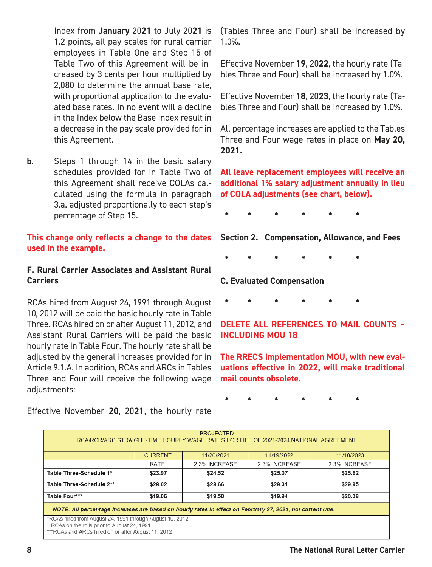Index from **January** 20**21** to July 20**21** is 1.2 points, all pay scales for rural carrier employees in Table One and Step 15 of Table Two of this Agreement will be increased by 3 cents per hour multiplied by 2,080 to determine the annual base rate, with proportional application to the evaluated base rates. In no event will a decline in the Index below the Base Index result in a decrease in the pay scale provided for in this Agreement.

**b.** Steps 1 through 14 in the basic salary schedules provided for in Table Two of this Agreement shall receive COLAs calculated using the formula in paragraph 3.a. adjusted proportionally to each step's percentage of Step 15.

**This change only reflects a change to the dates used in the example.**

#### **F. Rural Carrier Associates and Assistant Rural Carriers**

RCAs hired from August 24, 1991 through August 10, 2012 will be paid the basic hourly rate in Table Three. RCAs hired on or after August 11, 2012, and Assistant Rural Carriers will be paid the basic hourly rate in Table Four. The hourly rate shall be adjusted by the general increases provided for in Article 9.1.A. In addition, RCAs and ARCs in Tables Three and Four will receive the following wage adjustments:

(Tables Three and Four) shall be increased by 1.0%.

Effective November **19**, 20**22**, the hourly rate (Tables Three and Four) shall be increased by 1.0%.

Effective November **18**, 20**23**, the hourly rate (Tables Three and Four) shall be increased by 1.0%.

All percentage increases are applied to the Tables Three and Four wage rates in place on **May 20, 2021.**

**All leave replacement employees will receive an additional 1% salary adjustment annually in lieu of COLA adjustments (see chart, below).**

**\* \* \* \* \* \*** 

**Section 2. Compensation, Allowance, and Fees**

**\* \* \* \* \* \*** 

**C. Evaluated Compensation**

**\* \* \* \* \* \*** 

#### **DELETE ALL REFERENCES TO MAIL COUNTS – INCLUDING MOU 18**

**The RRECS implementation MOU, with new evaluations effective in 2022, will make traditional mail counts obsolete.** 

**\* \* \* \* \* \*** 

| <b>PROJECTED</b>                                                                                           |                |               |               |               |  |
|------------------------------------------------------------------------------------------------------------|----------------|---------------|---------------|---------------|--|
| RCA/RCR/ARC STRAIGHT-TIME HOURLY WAGE RATES FOR LIFE OF 2021-2024 NATIONAL AGREEMENT                       |                |               |               |               |  |
|                                                                                                            |                |               |               |               |  |
|                                                                                                            |                |               |               |               |  |
|                                                                                                            | <b>CURRENT</b> | 11/20/2021    | 11/19/2022    | 11/18/2023    |  |
|                                                                                                            | <b>RATE</b>    | 2.3% INCREASE | 2.3% INCREASE | 2.3% INCREASE |  |
| Table Three-Schedule 1*                                                                                    | \$23.97        | \$24.52       | \$25.07       | \$25.62       |  |
| Table Three-Schedule 2**                                                                                   | \$28.02        | \$28.66       | \$29.31       | \$29.95       |  |
| Table Four***                                                                                              | \$19.06        | \$19.50       | \$19.94       | \$20.38       |  |
| NOTE: All percentage increases are based on hourly rates in effect on February 27, 2021, not current rate. |                |               |               |               |  |
| *RCAs hired from August 24, 1991 through August 10, 2012                                                   |                |               |               |               |  |
| **RCAs on the rolls prior to August 24, 1991                                                               |                |               |               |               |  |
| ***RCAs and ARCs hired on or after August 11, 2012                                                         |                |               |               |               |  |

Effective November **20**, 20**21**, the hourly rate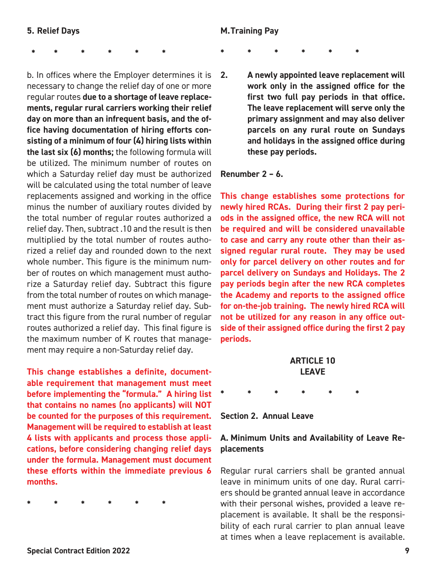**\* \* \* \* \* \*** 

b. In offices where the Employer determines it is necessary to change the relief day of one or more regular routes **due to a shortage of leave replacements, regular rural carriers working their relief day on more than an infrequent basis, and the office having documentation of hiring efforts consisting of a minimum of four (4) hiring lists within the last six (6) months;** the following formula will be utilized. The minimum number of routes on which a Saturday relief day must be authorized will be calculated using the total number of leave replacements assigned and working in the office minus the number of auxiliary routes divided by the total number of regular routes authorized a relief day. Then, subtract .10 and the result is then multiplied by the total number of routes authorized a relief day and rounded down to the next whole number. This figure is the minimum number of routes on which management must authorize a Saturday relief day. Subtract this figure from the total number of routes on which management must authorize a Saturday relief day. Subtract this figure from the rural number of regular routes authorized a relief day. This final figure is the maximum number of K routes that management may require a non-Saturday relief day.

**This change establishes a definite, documentable requirement that management must meet before implementing the "formula." A hiring list that contains no names (no applicants) will NOT be counted for the purposes of this requirement. Management will be required to establish at least 4 lists with applicants and process those applications, before considering changing relief days under the formula. Management must document these efforts within the immediate previous 6 months.**

**\* \* \* \* \* \*** 

#### **M. Training Pay**

**\* \* \* \* \* \*** 

**2. A newly appointed leave replacement will work only in the assigned office for the first two full pay periods in that office. The leave replacement will serve only the primary assignment and may also deliver parcels on any rural route on Sundays and holidays in the assigned office during these pay periods.** 

#### **Renumber 2 – 6.**

**This change establishes some protections for newly hired RCAs. During their first 2 pay periods in the assigned office, the new RCA will not be required and will be considered unavailable to case and carry any route other than their assigned regular rural route. They may be used only for parcel delivery on other routes and for parcel delivery on Sundays and Holidays. The 2 pay periods begin after the new RCA completes the Academy and reports to the assigned office for on-the-job training. The newly hired RCA will not be utilized for any reason in any office outside of their assigned office during the first 2 pay periods.**

#### **ARTICLE 10 LEAVE**

**\* \* \* \* \* \*** 

**Section 2. Annual Leave** 

#### **A. Minimum Units and Availability of Leave Replacements**

Regular rural carriers shall be granted annual leave in minimum units of one day. Rural carriers should be granted annual leave in accordance with their personal wishes, provided a leave replacement is available. It shall be the responsibility of each rural carrier to plan annual leave at times when a leave replacement is available.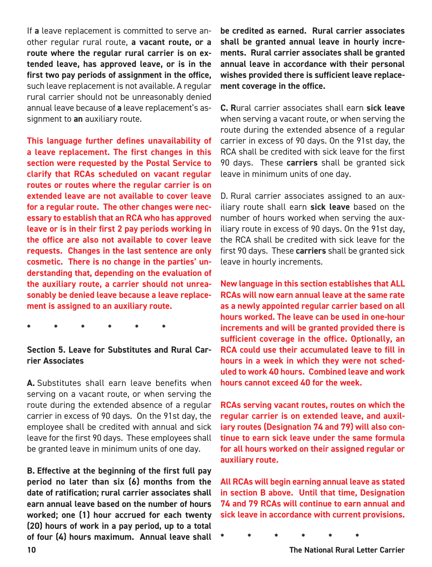If **a** leave replacement is committed to serve another regular rural route, **a vacant route, or a route where the regular rural carrier is on extended leave, has approved leave, or is in the first two pay periods of assignment in the office,**  such leave replacement is not available. A regular rural carrier should not be unreasonably denied annual leave because of **a** leave replacement's assignment to **an** auxiliary route.

**This language further defines unavailability of a leave replacement. The first changes in this section were requested by the Postal Service to clarify that RCAs scheduled on vacant regular routes or routes where the regular carrier is on extended leave are not available to cover leave for a regular route. The other changes were necessary to establish that an RCA who has approved leave or is in their first 2 pay periods working in the office are also not available to cover leave requests. Changes in the last sentence are only cosmetic. There is no change in the parties' understanding that, depending on the evaluation of the auxiliary route, a carrier should not unreasonably be denied leave because a leave replacement is assigned to an auxiliary route.**

**\* \* \* \* \* \*** 

#### **Section 5. Leave for Substitutes and Rural Carrier Associates**

**A.** Substitutes shall earn leave benefits when serving on a vacant route, or when serving the route during the extended absence of a regular carrier in excess of 90 days. On the 91st day, the employee shall be credited with annual and sick leave for the first 90 days. These employees shall be granted leave in minimum units of one day.

**B. Effective at the beginning of the first full pay period no later than six (6) months from the date of ratification; rural carrier associates shall earn annual leave based on the number of hours worked; one (1) hour accrued for each twenty (20) hours of work in a pay period, up to a total of four (4) hours maximum. Annual leave shall**  **be credited as earned. Rural carrier associates shall be granted annual leave in hourly increments. Rural carrier associates shall be granted annual leave in accordance with their personal wishes provided there is sufficient leave replacement coverage in the office.** 

**C. R**ural carrier associates shall earn **sick leave**  when serving a vacant route, or when serving the route during the extended absence of a regular carrier in excess of 90 days. On the 91st day, the RCA shall be credited with sick leave for the first 90 days. These **carriers** shall be granted sick leave in minimum units of one day.

D. Rural carrier associates assigned to an auxiliary route shall earn **sick leave** based on the number of hours worked when serving the auxiliary route in excess of 90 days. On the 91st day, the RCA shall be credited with sick leave for the first 90 days. These **carriers** shall be granted sick leave in hourly increments.

**New language in this section establishes that ALL RCAs will now earn annual leave at the same rate as a newly appointed regular carrier based on all hours worked. The leave can be used in one-hour increments and will be granted provided there is sufficient coverage in the office. Optionally, an RCA could use their accumulated leave to fill in hours in a week in which they were not scheduled to work 40 hours. Combined leave and work hours cannot exceed 40 for the week.** 

**RCAs serving vacant routes, routes on which the regular carrier is on extended leave, and auxiliary routes (Designation 74 and 79) will also continue to earn sick leave under the same formula for all hours worked on their assigned regular or auxiliary route.**

**All RCAs will begin earning annual leave as stated in section B above. Until that time, Designation 74 and 79 RCAs will continue to earn annual and sick leave in accordance with current provisions.**

**\* \* \* \* \* \*** 

**10 The National Rural Letter Carrier**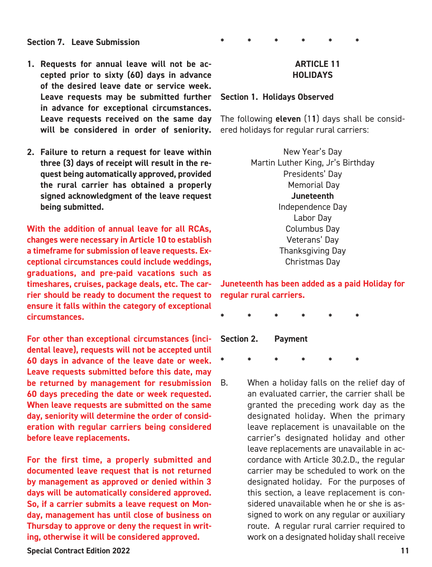#### **Section 7. Leave Submission**

- **1. Requests for annual leave will not be accepted prior to sixty (60) days in advance of the desired leave date or service week. Leave requests may be submitted further in advance for exceptional circumstances. Leave requests received on the same day will be considered in order of seniority.**
- **2. Failure to return a request for leave within three (3) days of receipt will result in the request being automatically approved, provided the rural carrier has obtained a properly signed acknowledgment of the leave request being submitted.**

**With the addition of annual leave for all RCAs, changes were necessary in Article 10 to establish a timeframe for submission of leave requests. Exceptional circumstances could include weddings, graduations, and pre-paid vacations such as timeshares, cruises, package deals, etc. The carrier should be ready to document the request to ensure it falls within the category of exceptional circumstances.** 

**For other than exceptional circumstances (incidental leave), requests will not be accepted until 60 days in advance of the leave date or week. Leave requests submitted before this date, may be returned by management for resubmission 60 days preceding the date or week requested. When leave requests are submitted on the same day, seniority will determine the order of consideration with regular carriers being considered before leave replacements.**

**For the first time, a properly submitted and documented leave request that is not returned by management as approved or denied within 3 days will be automatically considered approved. So, if a carrier submits a leave request on Monday, management has until close of business on Thursday to approve or deny the request in writing, otherwise it will be considered approved.**

#### **Special Contract Edition 2022 11**

#### **\* \* \* \* \* \***

#### **ARTICLE 11 HOLIDAYS**

#### **Section 1. Holidays Observed**

The following **eleven** (1**1**) days shall be considered holidays for regular rural carriers:

> New Year's Day Martin Luther King, Jr's Birthday Presidents' Day Memorial Day **Juneteenth** Independence Day Labor Day Columbus Day Veterans' Day Thanksgiving Day Christmas Day

**Juneteenth has been added as a paid Holiday for regular rural carriers.** 

**\* \* \* \* \* \*** 

**Section 2. Payment**

**\* \* \* \* \* \*** 

B. When a holiday falls on the relief day of an evaluated carrier, the carrier shall be granted the preceding work day as the designated holiday. When the primary leave replacement is unavailable on the carrier's designated holiday and other leave replacements are unavailable in accordance with Article 30.2.D., the regular carrier may be scheduled to work on the designated holiday. For the purposes of this section, a leave replacement is considered unavailable when he or she is assigned to work on any regular or auxiliary route. A regular rural carrier required to work on a designated holiday shall receive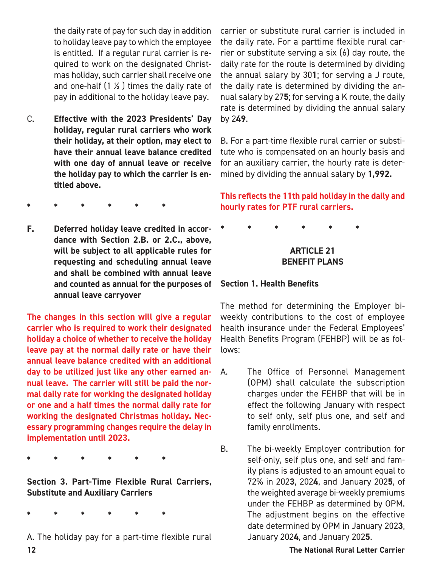the daily rate of pay for such day in addition to holiday leave pay to which the employee is entitled. If a regular rural carrier is required to work on the designated Christmas holiday, such carrier shall receive one and one-half  $(1 \times)$  times the daily rate of pay in additional to the holiday leave pay.

- C. **Effective with the 2023 Presidents' Day holiday, regular rural carriers who work their holiday, at their option, may elect to have their annual leave balance credited with one day of annual leave or receive the holiday pay to which the carrier is entitled above.**
- **\* \* \* \* \* \***
- **F. Deferred holiday leave credited in accordance with Section 2.B. or 2.C., above, will be subject to all applicable rules for requesting and scheduling annual leave and shall be combined with annual leave and counted as annual for the purposes of annual leave carryover**

**The changes in this section will give a regular carrier who is required to work their designated holiday a choice of whether to receive the holiday leave pay at the normal daily rate or have their annual leave balance credited with an additional day to be utilized just like any other earned annual leave. The carrier will still be paid the normal daily rate for working the designated holiday or one and a half times the normal daily rate for working the designated Christmas holiday. Necessary programming changes require the delay in implementation until 2023.**

**\* \* \* \* \* \*** 

**Section 3. Part-Time Flexible Rural Carriers, Substitute and Auxiliary Carriers**

**\* \* \* \* \* \*** 

**12 The National Rural Letter Carrier** A. The holiday pay for a part-time flexible rural

carrier or substitute rural carrier is included in the daily rate. For a parttime flexible rural carrier or substitute serving a six (6) day route, the daily rate for the route is determined by dividing the annual salary by 30**1**; for serving a J route, the daily rate is determined by dividing the annual salary by 27**5**; for serving a K route, the daily rate is determined by dividing the annual salary by 2**49**.

B. For a part-time flexible rural carrier or substitute who is compensated on an hourly basis and for an auxiliary carrier, the hourly rate is determined by dividing the annual salary by **1,992.**

#### **This reflects the 11th paid holiday in the daily and hourly rates for PTF rural carriers.**

**\* \* \* \* \* \*** 

#### **ARTICLE 21 BENEFIT PLANS**

#### **Section 1. Health Benefits**

The method for determining the Employer biweekly contributions to the cost of employee health insurance under the Federal Employees' Health Benefits Program (FEHBP) will be as follows:

- A. The Office of Personnel Management (OPM) shall calculate the subscription charges under the FEHBP that will be in effect the following January with respect to self only, self plus one, and self and family enrollments.
- B. The bi-weekly Employer contribution for self-only, self plus one, and self and family plans is adjusted to an amount equal to 72% in 202**3**, 202**4**, and January 202**5**, of the weighted average bi-weekly premiums under the FEHBP as determined by OPM. The adjustment begins on the effective date determined by OPM in January 202**3**, January 202**4**, and January 202**5**.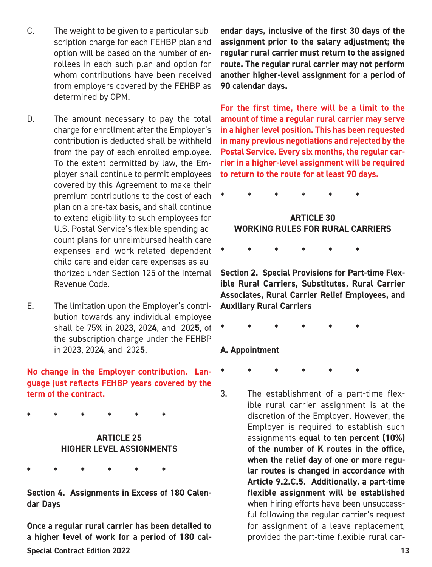- C. The weight to be given to a particular subscription charge for each FEHBP plan and option will be based on the number of enrollees in each such plan and option for whom contributions have been received from employers covered by the FEHBP as determined by OPM.
- D. The amount necessary to pay the total charge for enrollment after the Employer's contribution is deducted shall be withheld from the pay of each enrolled employee. To the extent permitted by law, the Employer shall continue to permit employees covered by this Agreement to make their premium contributions to the cost of each plan on a pre-tax basis, and shall continue to extend eligibility to such employees for U.S. Postal Service's flexible spending account plans for unreimbursed health care expenses and work-related dependent child care and elder care expenses as authorized under Section 125 of the Internal Revenue Code.
- E. The limitation upon the Employer's contribution towards any individual employee shall be 75% in 202**3**, 202**4**, and 202**5**, of the subscription charge under the FEHBP in 202**3**, 202**4**, and 202**5**.

**No change in the Employer contribution. Language just reflects FEHBP years covered by the term of the contract.**

**\* \* \* \* \* \*** 

#### **ARTICLE 25 HIGHER LEVEL ASSIGNMENTS**

**\* \* \* \* \* \*** 

**Section 4. Assignments in Excess of 180 Calendar Days**

**Special Contract Edition 2022 13 Once a regular rural carrier has been detailed to a higher level of work for a period of 180 cal-**

**endar days, inclusive of the first 30 days of the assignment prior to the salary adjustment; the regular rural carrier must return to the assigned route. The regular rural carrier may not perform another higher-level assignment for a period of 90 calendar days.** 

**For the first time, there will be a limit to the amount of time a regular rural carrier may serve in a higher level position. This has been requested in many previous negotiations and rejected by the Postal Service. Every six months, the regular carrier in a higher-level assignment will be required to return to the route for at least 90 days.** 

**\* \* \* \* \* \*** 

#### **ARTICLE 30 WORKING RULES FOR RURAL CARRIERS**

**\* \* \* \* \* \*** 

**Section 2. Special Provisions for Part-time Flexible Rural Carriers, Substitutes, Rural Carrier Associates, Rural Carrier Relief Employees, and Auxiliary Rural Carriers**

**\* \* \* \* \* \*** 

#### **A. Appointment**

**\* \* \* \* \* \*** 

3. The establishment of a part-time flexible rural carrier assignment is at the discretion of the Employer. However, the Employer is required to establish such assignments **equal to ten percent (10%) of the number of K routes in the office, when the relief day of one or more regular routes is changed in accordance with Article 9.2.C.5. Additionally, a part-time flexible assignment will be established**  when hiring efforts have been unsuccessful following the regular carrier's request for assignment of a leave replacement, provided the part-time flexible rural car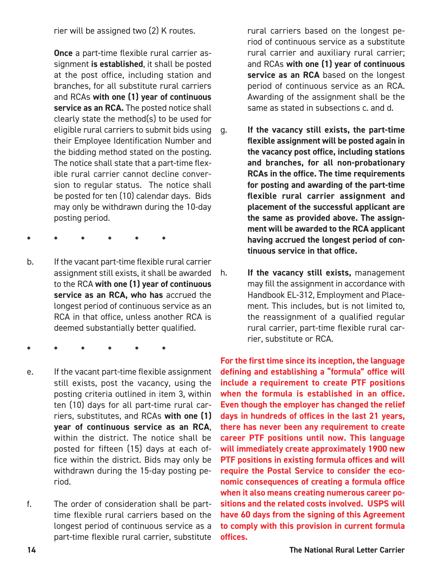rier will be assigned two (2) K routes.

 **Once** a part-time flexible rural carrier assignment **is established**, it shall be posted at the post office, including station and branches, for all substitute rural carriers and RCAs **with one (1) year of continuous service as an RCA.** The posted notice shall clearly state the method(s) to be used for eligible rural carriers to submit bids using their Employee Identification Number and the bidding method stated on the posting. The notice shall state that a part-time flexible rural carrier cannot decline conversion to regular status. The notice shall be posted for ten (10) calendar days. Bids may only be withdrawn during the 10-day posting period.

- **\* \* \* \* \* \***
- b. If the vacant part-time flexible rural carrier assignment still exists, it shall be awarded to the RCA **with one (1) year of continuous service as an RCA, who has** accrued the longest period of continuous service as an RCA in that office, unless another RCA is deemed substantially better qualified.
- **\* \* \* \* \* \***
- e. If the vacant part-time flexible assignment still exists, post the vacancy, using the posting criteria outlined in item 3, within ten (10) days for all part-time rural carriers, substitutes, and RCAs **with one (1) year of continuous service as an RCA**, within the district. The notice shall be posted for fifteen (15) days at each office within the district. Bids may only be withdrawn during the 15-day posting period.
- f. The order of consideration shall be parttime flexible rural carriers based on the longest period of continuous service as a part-time flexible rural carrier, substitute

rural carriers based on the longest period of continuous service as a substitute rural carrier and auxiliary rural carrier; and RCAs **with one (1) year of continuous**  service as an RCA based on the longest period of continuous service as an RCA. Awarding of the assignment shall be the same as stated in subsections c. and d.

- g. **If the vacancy still exists, the part-time flexible assignment will be posted again in the vacancy post office, including stations and branches, for all non-probationary RCAs in the office. The time requirements for posting and awarding of the part-time flexible rural carrier assignment and placement of the successful applicant are the same as provided above. The assignment will be awarded to the RCA applicant having accrued the longest period of continuous service in that office.**
- h. **If the vacancy still exists,** management may fill the assignment in accordance with Handbook EL-312, Employment and Placement. This includes, but is not limited to, the reassignment of a qualified regular rural carrier, part-time flexible rural carrier, substitute or RCA.

**For the first time since its inception, the language defining and establishing a "formula" office will include a requirement to create PTF positions when the formula is established in an office. Even though the employer has changed the relief days in hundreds of offices in the last 21 years, there has never been any requirement to create career PTF positions until now. This language will immediately create approximately 1900 new PTF positions in existing formula offices and will require the Postal Service to consider the economic consequences of creating a formula office when it also means creating numerous career positions and the related costs involved. USPS will have 60 days from the signing of this Agreement to comply with this provision in current formula offices.**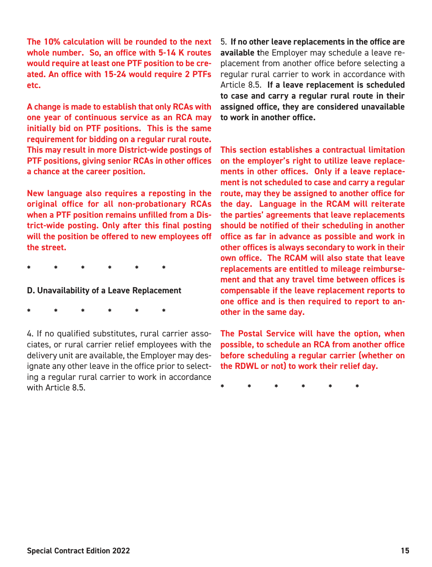**The 10% calculation will be rounded to the next whole number. So, an office with 5-14 K routes would require at least one PTF position to be created. An office with 15-24 would require 2 PTFs etc.**

**A change is made to establish that only RCAs with one year of continuous service as an RCA may initially bid on PTF positions. This is the same requirement for bidding on a regular rural route. This may result in more District-wide postings of PTF positions, giving senior RCAs in other offices a chance at the career position.** 

**New language also requires a reposting in the original office for all non-probationary RCAs when a PTF position remains unfilled from a District-wide posting. Only after this final posting will the position be offered to new employees off the street.**

**\* \* \* \* \* \*** 

#### **D. Unavailability of a Leave Replacement**

**\* \* \* \* \* \*** 

4. If no qualified substitutes, rural carrier associates, or rural carrier relief employees with the delivery unit are available, the Employer may designate any other leave in the office prior to selecting a regular rural carrier to work in accordance with Article 8.5

5. **If no other leave replacements in the office are available t**he Employer may schedule a leave replacement from another office before selecting a regular rural carrier to work in accordance with Article 8.5. **If a leave replacement is scheduled to case and carry a regular rural route in their assigned office, they are considered unavailable to work in another office.** 

**This section establishes a contractual limitation on the employer's right to utilize leave replacements in other offices. Only if a leave replacement is not scheduled to case and carry a regular route, may they be assigned to another office for the day. Language in the RCAM will reiterate the parties' agreements that leave replacements should be notified of their scheduling in another office as far in advance as possible and work in other offices is always secondary to work in their own office. The RCAM will also state that leave replacements are entitled to mileage reimbursement and that any travel time between offices is compensable if the leave replacement reports to one office and is then required to report to another in the same day.**

**The Postal Service will have the option, when possible, to schedule an RCA from another office before scheduling a regular carrier (whether on the RDWL or not) to work their relief day.**

**\* \* \* \* \* \***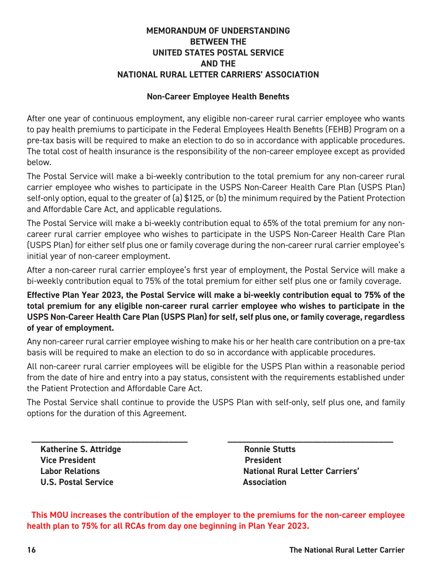#### **MEMORANDUM OF UNDERSTANDING BETWEEN THE UNITED STATES POSTAL SERVICE AND THE NATIONAL RURAL LETTER CARRIERS' ASSOCIATION**

#### **Non-Career Employee Health Benefits**

After one year of continuous employment, any eligible non-career rural carrier employee who wants to pay health premiums to participate in the Federal Employees Health Benefits (FEHB) Program on a pre-tax basis will be required to make an election to do so in accordance with applicable procedures. The total cost of health insurance is the responsibility of the non-career employee except as provided below.

The Postal Service will make a bi-weekly contribution to the total premium for any non-career rural carrier employee who wishes to participate in the USPS Non-Career Health Care Plan (USPS Plan) self-only option, equal to the greater of (a) \$125, or (b) the minimum required by the Patient Protection and Affordable Care Act, and applicable regulations.

The Postal Service will make a bi-weekly contribution equal to 65% of the total premium for any noncareer rural carrier employee who wishes to participate in the USPS Non-Career Health Care Plan (USPS Plan) for either self plus one or family coverage during the non-career rural carrier employee's initial year of non-career employment.

After a non-career rural carrier employee's first year of employment, the Postal Service will make a bi-weekly contribution equal to 75% of the total premium for either self plus one or family coverage.

**Effective Plan Year 2023, the Postal Service will make a bi-weekly contribution equal to 75% of the total premium for any eligible non-career rural carrier employee who wishes to participate in the USPS Non-Career Health Care Plan (USPS Plan) for self, self plus one, or family coverage, regardless of year of employment.** 

Any non-career rural carrier employee wishing to make his or her health care contribution on a pre-tax basis will be required to make an election to do so in accordance with applicable procedures.

All non-career rural carrier employees will be eligible for the USPS Plan within a reasonable period from the date of hire and entry into a pay status, consistent with the requirements established under the Patient Protection and Affordable Care Act.

The Postal Service shall continue to provide the USPS Plan with self-only, self plus one, and family options for the duration of this Agreement.

**\_\_\_\_\_\_\_\_\_\_\_\_\_\_\_\_\_\_\_\_\_\_\_\_\_\_\_\_\_\_\_\_\_ \_\_\_\_\_\_\_\_\_\_\_\_\_\_\_\_\_\_\_\_\_\_\_\_\_\_\_\_\_\_\_\_\_\_\_**

**Katherine S. Attridge Ronnie Stutts Vice President Contract Contract President Contract President U.S. Postal Service Community Community Association** 

 **Labor Relations National Rural Letter Carriers'**

**This MOU increases the contribution of the employer to the premiums for the non-career employee health plan to 75% for all RCAs from day one beginning in Plan Year 2023.**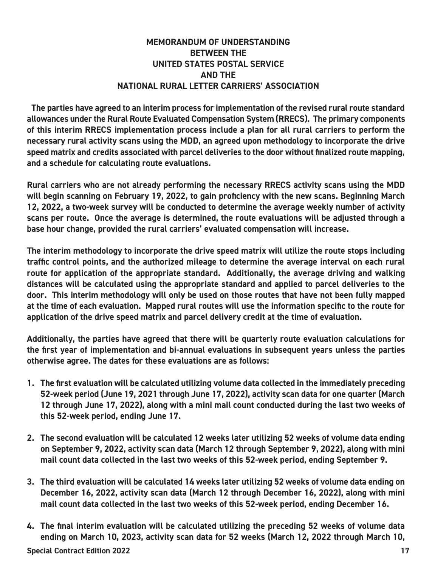#### **MEMORANDUM OF UNDERSTANDING BETWEEN THE UNITED STATES POSTAL SERVICE AND THE NATIONAL RURAL LETTER CARRIERS' ASSOCIATION**

**The parties have agreed to an interim process for implementation of the revised rural route standard allowances under the Rural Route Evaluated Compensation System (RRECS). The primary components of this interim RRECS implementation process include a plan for all rural carriers to perform the necessary rural activity scans using the MDD, an agreed upon methodology to incorporate the drive speed matrix and credits associated with parcel deliveries to the door without finalized route mapping, and a schedule for calculating route evaluations.**

**Rural carriers who are not already performing the necessary RRECS activity scans using the MDD will begin scanning on February 19, 2022, to gain proficiency with the new scans. Beginning March 12, 2022, a two-week survey will be conducted to determine the average weekly number of activity scans per route. Once the average is determined, the route evaluations will be adjusted through a base hour change, provided the rural carriers' evaluated compensation will increase.**

**The interim methodology to incorporate the drive speed matrix will utilize the route stops including traffic control points, and the authorized mileage to determine the average interval on each rural route for application of the appropriate standard. Additionally, the average driving and walking distances will be calculated using the appropriate standard and applied to parcel deliveries to the door. This interim methodology will only be used on those routes that have not been fully mapped at the time of each evaluation. Mapped rural routes will use the information specific to the route for application of the drive speed matrix and parcel delivery credit at the time of evaluation.**

**Additionally, the parties have agreed that there will be quarterly route evaluation calculations for the first year of implementation and bi-annual evaluations in subsequent years unless the parties otherwise agree. The dates for these evaluations are as follows:**

- **1. The first evaluation will be calculated utilizing volume data collected in the immediately preceding 52-week period (June 19, 2021 through June 17, 2022), activity scan data for one quarter (March 12 through June 17, 2022), along with a mini mail count conducted during the last two weeks of this 52-week period, ending June 17.**
- **2. The second evaluation will be calculated 12 weeks later utilizing 52 weeks of volume data ending on September 9, 2022, activity scan data (March 12 through September 9, 2022), along with mini mail count data collected in the last two weeks of this 52-week period, ending September 9.**
- **3. The third evaluation will be calculated 14 weeks later utilizing 52 weeks of volume data ending on December 16, 2022, activity scan data (March 12 through December 16, 2022), along with mini mail count data collected in the last two weeks of this 52-week period, ending December 16.**
- **Special Contract Edition 2022 17 4. The final interim evaluation will be calculated utilizing the preceding 52 weeks of volume data ending on March 10, 2023, activity scan data for 52 weeks (March 12, 2022 through March 10,**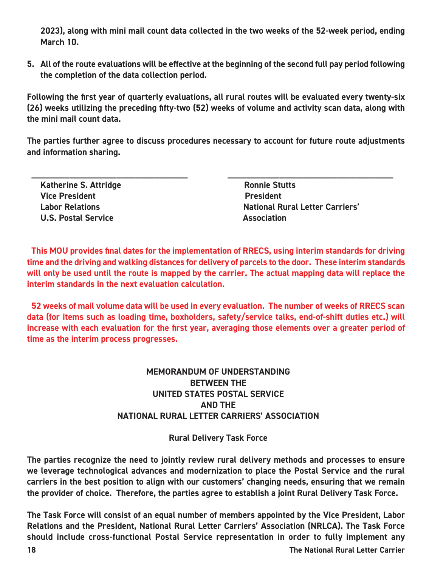**2023), along with mini mail count data collected in the two weeks of the 52-week period, ending March 10.** 

**5. All of the route evaluations will be effective at the beginning of the second full pay period following the completion of the data collection period.**

**Following the first year of quarterly evaluations, all rural routes will be evaluated every twenty-six (26) weeks utilizing the preceding fifty-two (52) weeks of volume and activity scan data, along with the mini mail count data.**

**The parties further agree to discuss procedures necessary to account for future route adjustments and information sharing.**

| <b>Katherine S. Attridge</b> | <b>Ronnie Stutts</b>                   |
|------------------------------|----------------------------------------|
| <b>Vice President</b>        | <b>President</b>                       |
| <b>Labor Relations</b>       | <b>National Rural Letter Carriers'</b> |
| <b>U.S. Postal Service</b>   | <b>Association</b>                     |

**This MOU provides final dates for the implementation of RRECS, using interim standards for driving time and the driving and walking distances for delivery of parcels to the door. These interim standards will only be used until the route is mapped by the carrier. The actual mapping data will replace the interim standards in the next evaluation calculation.**

**52 weeks of mail volume data will be used in every evaluation. The number of weeks of RRECS scan data (for items such as loading time, boxholders, safety/service talks, end-of-shift duties etc.) will increase with each evaluation for the first year, averaging those elements over a greater period of time as the interim process progresses.**

#### **MEMORANDUM OF UNDERSTANDING BETWEEN THE UNITED STATES POSTAL SERVICE AND THE NATIONAL RURAL LETTER CARRIERS' ASSOCIATION**

**Rural Delivery Task Force**

**The parties recognize the need to jointly review rural delivery methods and processes to ensure we leverage technological advances and modernization to place the Postal Service and the rural carriers in the best position to align with our customers' changing needs, ensuring that we remain the provider of choice. Therefore, the parties agree to establish a joint Rural Delivery Task Force.**

**The Task Force will consist of an equal number of members appointed by the Vice President, Labor Relations and the President, National Rural Letter Carriers' Association (NRLCA). The Task Force should include cross-functional Postal Service representation in order to fully implement any** 

**18 The National Rural Letter Carrier**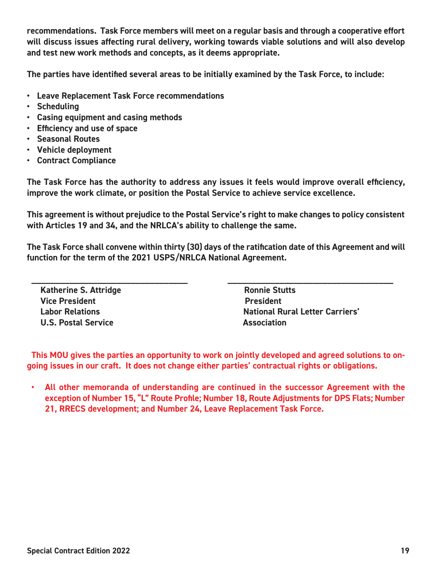**recommendations. Task Force members will meet on a regular basis and through a cooperative effort will discuss issues affecting rural delivery, working towards viable solutions and will also develop and test new work methods and concepts, as it deems appropriate.**

**The parties have identified several areas to be initially examined by the Task Force, to include:**

- **Leave Replacement Task Force recommendations**
- **Scheduling**
- **Casing equipment and casing methods**
- **Efficiency and use of space**
- **Seasonal Routes**
- **Vehicle deployment**
- **Contract Compliance**

**The Task Force has the authority to address any issues it feels would improve overall efficiency, improve the work climate, or position the Postal Service to achieve service excellence.**

**This agreement is without prejudice to the Postal Service's right to make changes to policy consistent with Articles 19 and 34, and the NRLCA's ability to challenge the same.**

**The Task Force shall convene within thirty (30) days of the ratification date of this Agreement and will function for the term of the 2021 USPS/NRLCA National Agreement.** 

**\_\_\_\_\_\_\_\_\_\_\_\_\_\_\_\_\_\_\_\_\_\_\_\_\_\_\_\_\_\_\_\_\_ \_\_\_\_\_\_\_\_\_\_\_\_\_\_\_\_\_\_\_\_\_\_\_\_\_\_\_\_\_\_\_\_\_\_\_**

**Katherine S. Attridge Community Community Ronnie Stutts** *Vice President President* **U.S. Postal Service Community Community Association** 

 **Labor Relations National Rural Letter Carriers'**

**This MOU gives the parties an opportunity to work on jointly developed and agreed solutions to ongoing issues in our craft. It does not change either parties' contractual rights or obligations.**

**• All other memoranda of understanding are continued in the successor Agreement with the exception of Number 15, "L" Route Profile; Number 18, Route Adjustments for DPS Flats; Number 21, RRECS development; and Number 24, Leave Replacement Task Force.**